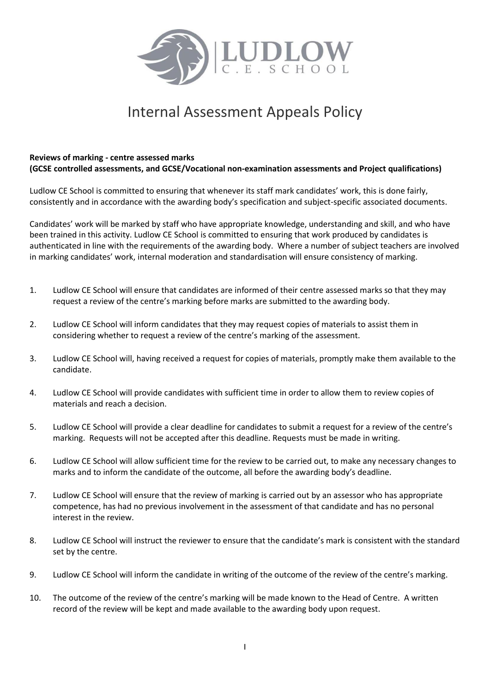

## Internal Assessment Appeals Policy

## **Reviews of marking - centre assessed marks**

**(GCSE controlled assessments, and GCSE/Vocational non-examination assessments and Project qualifications)**

Ludlow CE School is committed to ensuring that whenever its staff mark candidates' work, this is done fairly, consistently and in accordance with the awarding body's specification and subject-specific associated documents.

Candidates' work will be marked by staff who have appropriate knowledge, understanding and skill, and who have been trained in this activity. Ludlow CE School is committed to ensuring that work produced by candidates is authenticated in line with the requirements of the awarding body. Where a number of subject teachers are involved in marking candidates' work, internal moderation and standardisation will ensure consistency of marking.

- 1. Ludlow CE School will ensure that candidates are informed of their centre assessed marks so that they may request a review of the centre's marking before marks are submitted to the awarding body.
- 2. Ludlow CE School will inform candidates that they may request copies of materials to assist them in considering whether to request a review of the centre's marking of the assessment.
- 3. Ludlow CE School will, having received a request for copies of materials, promptly make them available to the candidate.
- 4. Ludlow CE School will provide candidates with sufficient time in order to allow them to review copies of materials and reach a decision.
- 5. Ludlow CE School will provide a clear deadline for candidates to submit a request for a review of the centre's marking. Requests will not be accepted after this deadline. Requests must be made in writing.
- 6. Ludlow CE School will allow sufficient time for the review to be carried out, to make any necessary changes to marks and to inform the candidate of the outcome, all before the awarding body's deadline.
- 7. Ludlow CE School will ensure that the review of marking is carried out by an assessor who has appropriate competence, has had no previous involvement in the assessment of that candidate and has no personal interest in the review.
- 8. Ludlow CE School will instruct the reviewer to ensure that the candidate's mark is consistent with the standard set by the centre.
- 9. Ludlow CE School will inform the candidate in writing of the outcome of the review of the centre's marking.
- 10. The outcome of the review of the centre's marking will be made known to the Head of Centre. A written record of the review will be kept and made available to the awarding body upon request.